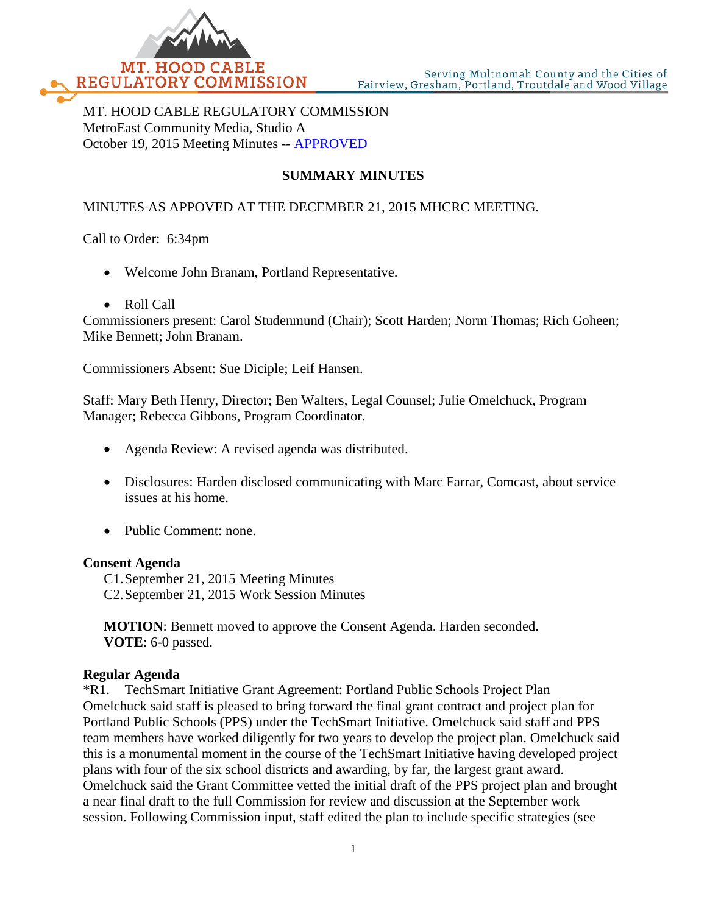

MT. HOOD CABLE REGULATORY COMMISSION MetroEast Community Media, Studio A October 19, 2015 Meeting Minutes -- APPROVED

# **SUMMARY MINUTES**

### MINUTES AS APPOVED AT THE DECEMBER 21, 2015 MHCRC MEETING.

Call to Order: 6:34pm

- Welcome John Branam, Portland Representative.
- Roll Call

Commissioners present: Carol Studenmund (Chair); Scott Harden; Norm Thomas; Rich Goheen; Mike Bennett; John Branam.

Commissioners Absent: Sue Diciple; Leif Hansen.

Staff: Mary Beth Henry, Director; Ben Walters, Legal Counsel; Julie Omelchuck, Program Manager; Rebecca Gibbons, Program Coordinator.

- Agenda Review: A revised agenda was distributed.
- Disclosures: Harden disclosed communicating with Marc Farrar, Comcast, about service issues at his home.
- Public Comment: none.

#### **Consent Agenda**

C1.September 21, 2015 Meeting Minutes C2.September 21, 2015 Work Session Minutes

**MOTION**: Bennett moved to approve the Consent Agenda. Harden seconded. **VOTE**: 6-0 passed.

### **Regular Agenda**

\*R1. TechSmart Initiative Grant Agreement: Portland Public Schools Project Plan Omelchuck said staff is pleased to bring forward the final grant contract and project plan for Portland Public Schools (PPS) under the TechSmart Initiative. Omelchuck said staff and PPS team members have worked diligently for two years to develop the project plan. Omelchuck said this is a monumental moment in the course of the TechSmart Initiative having developed project plans with four of the six school districts and awarding, by far, the largest grant award. Omelchuck said the Grant Committee vetted the initial draft of the PPS project plan and brought a near final draft to the full Commission for review and discussion at the September work session. Following Commission input, staff edited the plan to include specific strategies (see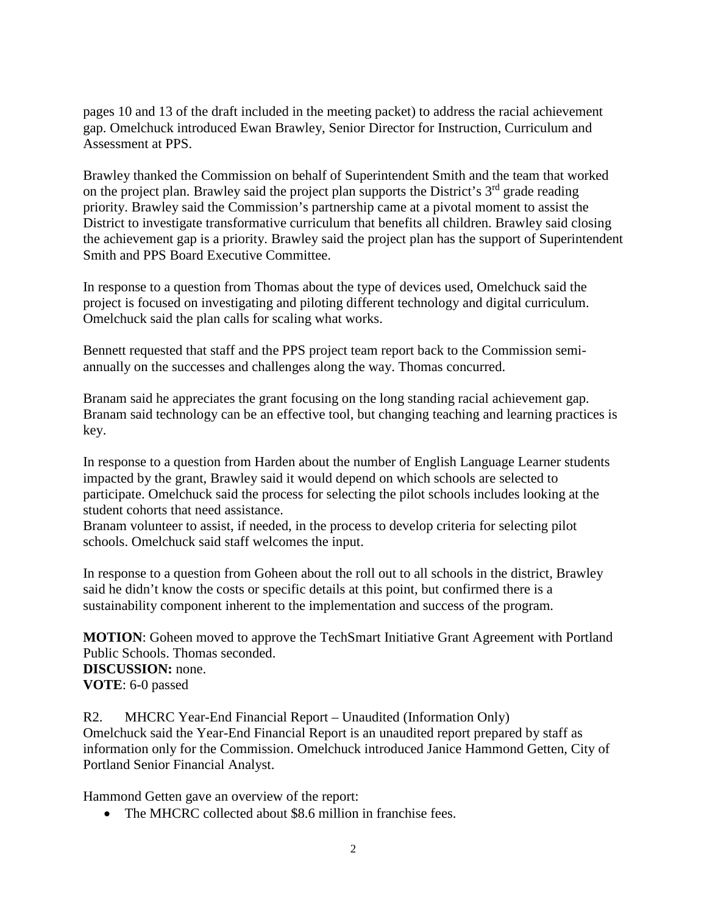pages 10 and 13 of the draft included in the meeting packet) to address the racial achievement gap. Omelchuck introduced Ewan Brawley, Senior Director for Instruction, Curriculum and Assessment at PPS.

Brawley thanked the Commission on behalf of Superintendent Smith and the team that worked on the project plan. Brawley said the project plan supports the District's  $3<sup>rd</sup>$  grade reading priority. Brawley said the Commission's partnership came at a pivotal moment to assist the District to investigate transformative curriculum that benefits all children. Brawley said closing the achievement gap is a priority. Brawley said the project plan has the support of Superintendent Smith and PPS Board Executive Committee.

In response to a question from Thomas about the type of devices used, Omelchuck said the project is focused on investigating and piloting different technology and digital curriculum. Omelchuck said the plan calls for scaling what works.

Bennett requested that staff and the PPS project team report back to the Commission semiannually on the successes and challenges along the way. Thomas concurred.

Branam said he appreciates the grant focusing on the long standing racial achievement gap. Branam said technology can be an effective tool, but changing teaching and learning practices is key.

In response to a question from Harden about the number of English Language Learner students impacted by the grant, Brawley said it would depend on which schools are selected to participate. Omelchuck said the process for selecting the pilot schools includes looking at the student cohorts that need assistance.

Branam volunteer to assist, if needed, in the process to develop criteria for selecting pilot schools. Omelchuck said staff welcomes the input.

In response to a question from Goheen about the roll out to all schools in the district, Brawley said he didn't know the costs or specific details at this point, but confirmed there is a sustainability component inherent to the implementation and success of the program.

**MOTION**: Goheen moved to approve the TechSmart Initiative Grant Agreement with Portland Public Schools. Thomas seconded.

**DISCUSSION:** none. **VOTE**: 6-0 passed

R2. MHCRC Year-End Financial Report – Unaudited (Information Only) Omelchuck said the Year-End Financial Report is an unaudited report prepared by staff as information only for the Commission. Omelchuck introduced Janice Hammond Getten, City of Portland Senior Financial Analyst.

Hammond Getten gave an overview of the report:

• The MHCRC collected about \$8.6 million in franchise fees.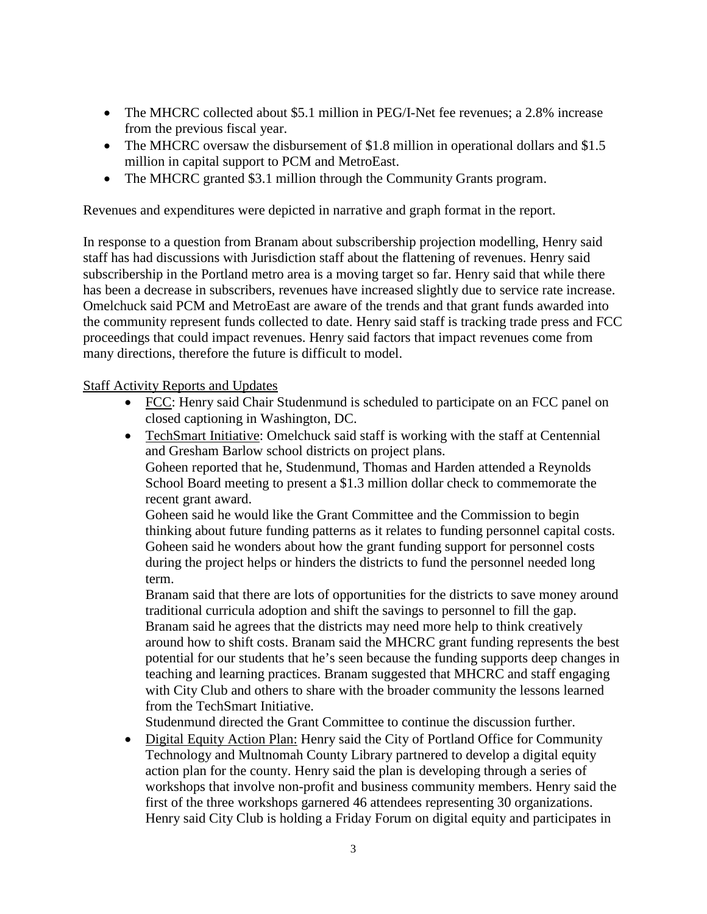- The MHCRC collected about \$5.1 million in PEG/I-Net fee revenues; a 2.8% increase from the previous fiscal year.
- The MHCRC oversaw the disbursement of \$1.8 million in operational dollars and \$1.5 million in capital support to PCM and MetroEast.
- The MHCRC granted \$3.1 million through the Community Grants program.

Revenues and expenditures were depicted in narrative and graph format in the report.

In response to a question from Branam about subscribership projection modelling, Henry said staff has had discussions with Jurisdiction staff about the flattening of revenues. Henry said subscribership in the Portland metro area is a moving target so far. Henry said that while there has been a decrease in subscribers, revenues have increased slightly due to service rate increase. Omelchuck said PCM and MetroEast are aware of the trends and that grant funds awarded into the community represent funds collected to date. Henry said staff is tracking trade press and FCC proceedings that could impact revenues. Henry said factors that impact revenues come from many directions, therefore the future is difficult to model.

### Staff Activity Reports and Updates

- FCC: Henry said Chair Studenmund is scheduled to participate on an FCC panel on closed captioning in Washington, DC.
- TechSmart Initiative: Omelchuck said staff is working with the staff at Centennial and Gresham Barlow school districts on project plans. Goheen reported that he, Studenmund, Thomas and Harden attended a Reynolds School Board meeting to present a \$1.3 million dollar check to commemorate the recent grant award.

Goheen said he would like the Grant Committee and the Commission to begin thinking about future funding patterns as it relates to funding personnel capital costs. Goheen said he wonders about how the grant funding support for personnel costs during the project helps or hinders the districts to fund the personnel needed long term.

Branam said that there are lots of opportunities for the districts to save money around traditional curricula adoption and shift the savings to personnel to fill the gap. Branam said he agrees that the districts may need more help to think creatively around how to shift costs. Branam said the MHCRC grant funding represents the best potential for our students that he's seen because the funding supports deep changes in teaching and learning practices. Branam suggested that MHCRC and staff engaging with City Club and others to share with the broader community the lessons learned from the TechSmart Initiative.

Studenmund directed the Grant Committee to continue the discussion further.

• Digital Equity Action Plan: Henry said the City of Portland Office for Community Technology and Multnomah County Library partnered to develop a digital equity action plan for the county. Henry said the plan is developing through a series of workshops that involve non-profit and business community members. Henry said the first of the three workshops garnered 46 attendees representing 30 organizations. Henry said City Club is holding a Friday Forum on digital equity and participates in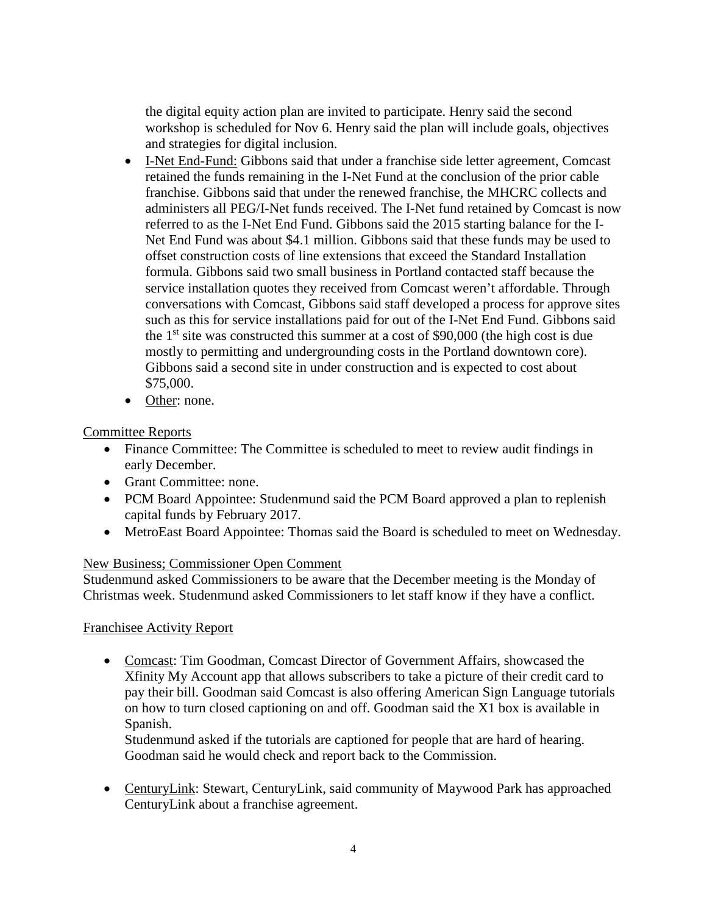the digital equity action plan are invited to participate. Henry said the second workshop is scheduled for Nov 6. Henry said the plan will include goals, objectives and strategies for digital inclusion.

- I-Net End-Fund: Gibbons said that under a franchise side letter agreement, Comcast retained the funds remaining in the I-Net Fund at the conclusion of the prior cable franchise. Gibbons said that under the renewed franchise, the MHCRC collects and administers all PEG/I-Net funds received. The I-Net fund retained by Comcast is now referred to as the I-Net End Fund. Gibbons said the 2015 starting balance for the I-Net End Fund was about \$4.1 million. Gibbons said that these funds may be used to offset construction costs of line extensions that exceed the Standard Installation formula. Gibbons said two small business in Portland contacted staff because the service installation quotes they received from Comcast weren't affordable. Through conversations with Comcast, Gibbons said staff developed a process for approve sites such as this for service installations paid for out of the I-Net End Fund. Gibbons said the  $1<sup>st</sup>$  site was constructed this summer at a cost of \$90,000 (the high cost is due mostly to permitting and undergrounding costs in the Portland downtown core). Gibbons said a second site in under construction and is expected to cost about \$75,000.
- Other: none.

# Committee Reports

- Finance Committee: The Committee is scheduled to meet to review audit findings in early December.
- Grant Committee: none.
- PCM Board Appointee: Studenmund said the PCM Board approved a plan to replenish capital funds by February 2017.
- MetroEast Board Appointee: Thomas said the Board is scheduled to meet on Wednesday.

# New Business; Commissioner Open Comment

Studenmund asked Commissioners to be aware that the December meeting is the Monday of Christmas week. Studenmund asked Commissioners to let staff know if they have a conflict.

# Franchisee Activity Report

• Comcast: Tim Goodman, Comcast Director of Government Affairs, showcased the Xfinity My Account app that allows subscribers to take a picture of their credit card to pay their bill. Goodman said Comcast is also offering American Sign Language tutorials on how to turn closed captioning on and off. Goodman said the X1 box is available in Spanish.

Studenmund asked if the tutorials are captioned for people that are hard of hearing. Goodman said he would check and report back to the Commission.

• CenturyLink: Stewart, CenturyLink, said community of Maywood Park has approached CenturyLink about a franchise agreement.